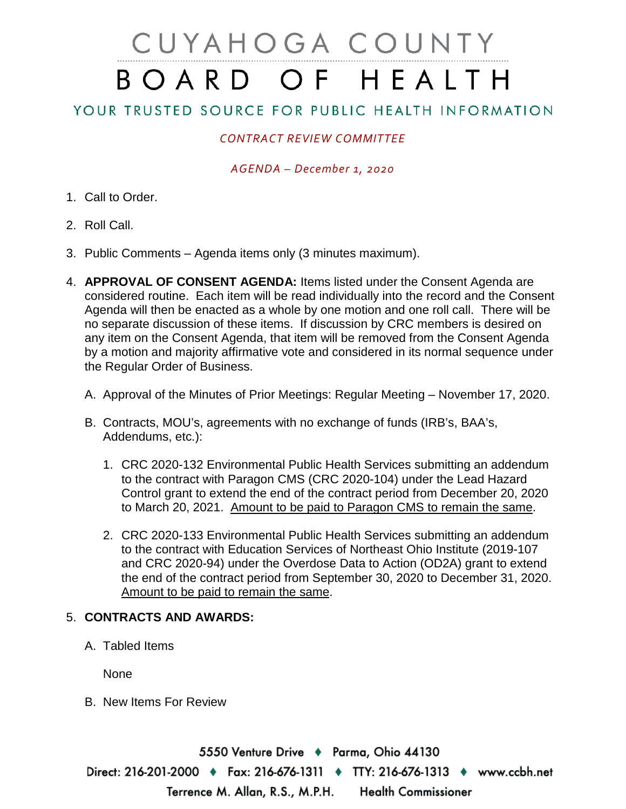# CUYAHOGA COUNTY BOARD OF HEALTH

## YOUR TRUSTED SOURCE FOR PUBLIC HEALTH INFORMATION

### *CONTRACT REVIEW COMMITTEE*

#### *AGENDA – December 1, 2020*

- 1. Call to Order.
- 2. Roll Call.
- 3. Public Comments Agenda items only (3 minutes maximum).
- 4. **APPROVAL OF CONSENT AGENDA:** Items listed under the Consent Agenda are considered routine. Each item will be read individually into the record and the Consent Agenda will then be enacted as a whole by one motion and one roll call. There will be no separate discussion of these items. If discussion by CRC members is desired on any item on the Consent Agenda, that item will be removed from the Consent Agenda by a motion and majority affirmative vote and considered in its normal sequence under the Regular Order of Business.
	- A. Approval of the Minutes of Prior Meetings: Regular Meeting November 17, 2020.
	- B. Contracts, MOU's, agreements with no exchange of funds (IRB's, BAA's, Addendums, etc.):
		- 1. CRC 2020-132 Environmental Public Health Services submitting an addendum to the contract with Paragon CMS (CRC 2020-104) under the Lead Hazard Control grant to extend the end of the contract period from December 20, 2020 to March 20, 2021. Amount to be paid to Paragon CMS to remain the same.
		- 2. CRC 2020-133 Environmental Public Health Services submitting an addendum to the contract with Education Services of Northeast Ohio Institute (2019-107 and CRC 2020-94) under the Overdose Data to Action (OD2A) grant to extend the end of the contract period from September 30, 2020 to December 31, 2020. Amount to be paid to remain the same.

#### 5. **CONTRACTS AND AWARDS:**

A. Tabled Items

None

B. New Items For Review

5550 Venture Drive ♦ Parma, Ohio 44130 Direct: 216-201-2000 ♦ Fax: 216-676-1311 ♦ TTY: 216-676-1313 ♦ www.ccbh.net Terrence M. Allan, R.S., M.P.H. **Health Commissioner**